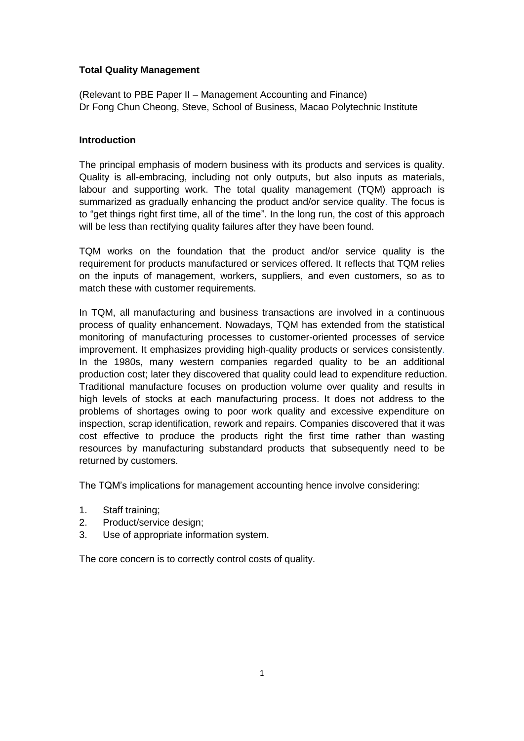# **Total Quality Management**

(Relevant to PBE Paper II – Management Accounting and Finance) Dr Fong Chun Cheong, Steve, School of Business, Macao Polytechnic Institute

# **Introduction**

The principal emphasis of modern business with its products and services is quality. Quality is all-embracing, including not only outputs, but also inputs as materials, labour and supporting work. The total quality management (TQM) approach is summarized as gradually enhancing the product and/or service quality. The focus is to "get things right first time, all of the time". In the long run, the cost of this approach will be less than rectifying quality failures after they have been found.

TQM works on the foundation that the product and/or service quality is the requirement for products manufactured or services offered. It reflects that TQM relies on the inputs of management, workers, suppliers, and even customers, so as to match these with customer requirements.

In TQM, all manufacturing and business transactions are involved in a continuous process of quality enhancement. Nowadays, TQM has extended from the statistical monitoring of manufacturing processes to customer-oriented processes of service improvement. It emphasizes providing high-quality products or services consistently. In the 1980s, many western companies regarded quality to be an additional production cost; later they discovered that quality could lead to expenditure reduction. Traditional manufacture focuses on production volume over quality and results in high levels of stocks at each manufacturing process. It does not address to the problems of shortages owing to poor work quality and excessive expenditure on inspection, scrap identification, rework and repairs. Companies discovered that it was cost effective to produce the products right the first time rather than wasting resources by manufacturing substandard products that subsequently need to be returned by customers.

The TQM's implications for management accounting hence involve considering:

- 1. Staff training;
- 2. Product/service design;
- 3. Use of appropriate information system.

The core concern is to correctly control costs of quality.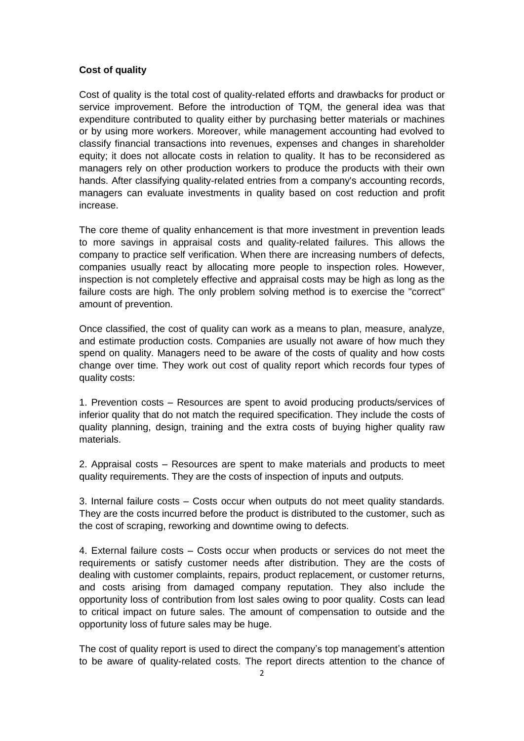## **Cost of quality**

Cost of quality is the total cost of quality-related efforts and drawbacks for product or service improvement. Before the introduction of TQM, the general idea was that expenditure contributed to quality either by purchasing better materials or machines or by using more workers. Moreover, while management accounting had evolved to classify financial transactions into revenues, expenses and changes in shareholder equity; it does not allocate costs in relation to quality. It has to be reconsidered as managers rely on other production workers to produce the products with their own hands. After classifying quality-related entries from a company's accounting records, managers can evaluate investments in quality based on cost reduction and profit increase.

The core theme of quality enhancement is that more investment in prevention leads to more savings in appraisal costs and quality-related failures. This allows the company to practice self verification. When there are increasing numbers of defects, companies usually react by allocating more people to inspection roles. However, inspection is not completely effective and appraisal costs may be high as long as the failure costs are high. The only problem solving method is to exercise the "correct" amount of prevention.

Once classified, the cost of quality can work as a means to plan, measure, analyze, and estimate production costs. Companies are usually not aware of how much they spend on quality. Managers need to be aware of the costs of quality and how costs change over time. They work out cost of quality report which records four types of quality costs:

1. Prevention costs – Resources are spent to avoid producing products/services of inferior quality that do not match the required specification. They include the costs of quality planning, design, training and the extra costs of buying higher quality raw materials.

2. Appraisal costs – Resources are spent to make materials and products to meet quality requirements. They are the costs of inspection of inputs and outputs.

3. Internal failure costs – Costs occur when outputs do not meet quality standards. They are the costs incurred before the product is distributed to the customer, such as the cost of scraping, reworking and downtime owing to defects.

4. External failure costs – Costs occur when products or services do not meet the requirements or satisfy customer needs after distribution. They are the costs of dealing with customer complaints, repairs, product replacement, or customer returns, and costs arising from damaged company reputation. They also include the opportunity loss of contribution from lost sales owing to poor quality. Costs can lead to critical impact on future sales. The amount of compensation to outside and the opportunity loss of future sales may be huge.

The cost of quality report is used to direct the company's top management's attention to be aware of quality-related costs. The report directs attention to the chance of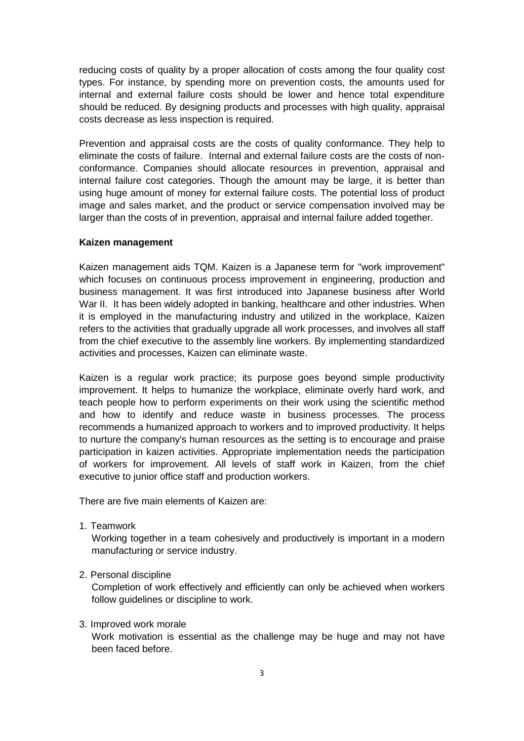reducing costs of quality by a proper allocation of costs among the four quality cost types. For instance, by spending more on prevention costs, the amounts used for internal and external failure costs should be lower and hence total expenditure should be reduced. By designing products and processes with high quality, appraisal costs decrease as less inspection is required.

Prevention and appraisal costs are the costs of quality conformance. They help to eliminate the costs of failure. Internal and external failure costs are the costs of nonconformance. Companies should allocate resources in prevention, appraisal and internal failure cost categories. Though the amount may be large, it is better than using huge amount of money for external failure costs. The potential loss of product image and sales market, and the product or service compensation involved may be larger than the costs of in prevention, appraisal and internal failure added together.

### **Kaizen management**

Kaizen management aids TQM. Kaizen is a Japanese term for "work improvement" which focuses on continuous process improvement in engineering, production and business management. It was first introduced into Japanese business after World War II. It has been widely adopted in banking, healthcare and other industries. When it is employed in the manufacturing industry and utilized in the workplace, Kaizen refers to the activities that gradually upgrade all work processes, and involves all staff from the chief executive to the assembly line workers. By implementing standardized activities and processes, Kaizen can eliminate waste.

Kaizen is a regular work practice; its purpose goes beyond simple productivity improvement. It helps to humanize the workplace, eliminate overly hard work, and teach people how to perform experiments on their work using the scientific method and how to identify and reduce waste in business processes. The process recommends a humanized approach to workers and to improved productivity. It helps to nurture the company's human resources as the setting is to encourage and praise participation in kaizen activities. Appropriate implementation needs the participation of workers for improvement. All levels of staff work in Kaizen, from the chief executive to junior office staff and production workers.

There are five main elements of Kaizen are:

1. Teamwork

Working together in a team cohesively and productively is important in a modern manufacturing or service industry.

2. Personal discipline

Completion of work effectively and efficiently can only be achieved when workers follow guidelines or discipline to work.

#### 3. Improved work morale

Work motivation is essential as the challenge may be huge and may not have been faced before.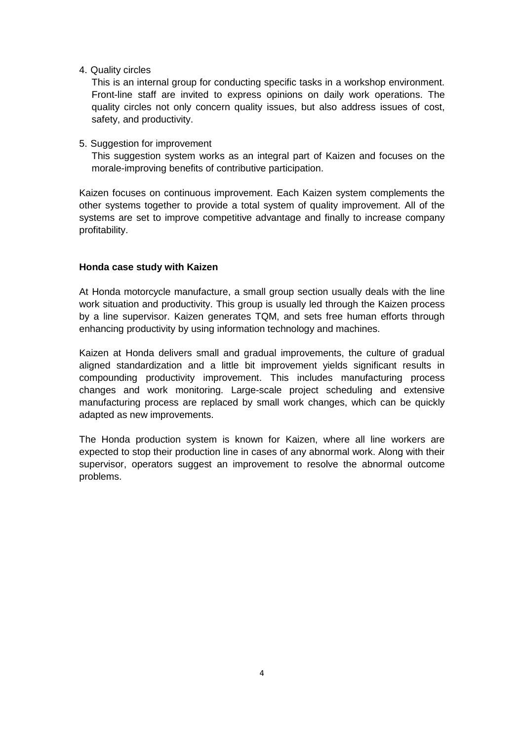4. Quality circles

This is an internal group for conducting specific tasks in a workshop environment. Front-line staff are invited to express opinions on daily work operations. The quality circles not only concern quality issues, but also address issues of cost, safety, and productivity.

5. Suggestion for improvement

This suggestion system works as an integral part of Kaizen and focuses on the morale-improving benefits of contributive participation.

Kaizen focuses on continuous improvement. Each Kaizen system complements the other systems together to provide a total system of quality improvement. All of the systems are set to improve competitive advantage and finally to increase company profitability.

## **Honda case study with Kaizen**

At Honda motorcycle manufacture, a small group section usually deals with the line work situation and productivity. This group is usually led through the Kaizen process by a line supervisor. Kaizen generates TQM, and sets free human efforts through enhancing productivity by using information technology and machines.

Kaizen at Honda delivers small and gradual improvements, the culture of gradual aligned standardization and a little bit improvement yields significant results in compounding productivity improvement. This includes manufacturing process changes and work monitoring. Large-scale project scheduling and extensive manufacturing process are replaced by small work changes, which can be quickly adapted as new improvements.

The Honda production system is known for Kaizen, where all line workers are expected to stop their production line in cases of any abnormal work. Along with their supervisor, operators suggest an improvement to resolve the abnormal outcome problems.